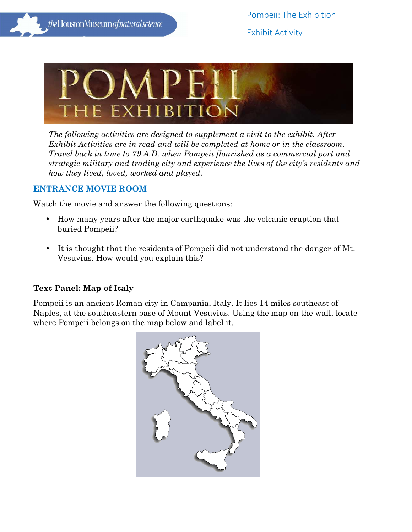

*The following activities are designed to supplement a visit to the exhibit. After Exhibit Activities are in read and will be completed at home or in the classroom. Travel back in time to 79 A.D. when Pompeii flourished as a commercial port and strategic military and trading city and experience the lives of the city's residents and how they lived, loved, worked and played.* 

## **ENTRANCE MOVIE ROOM**

Watch the movie and answer the following questions:

- How many years after the major earthquake was the volcanic eruption that buried Pompeii?
- It is thought that the residents of Pompeii did not understand the danger of Mt. Vesuvius. How would you explain this?

# **Text Panel: Map of Italy**

Pompeii is an ancient Roman city in Campania, Italy. It lies 14 miles southeast of Naples, at the southeastern base of Mount Vesuvius. Using the map on the wall, locate where Pompeii belongs on the map below and label it.

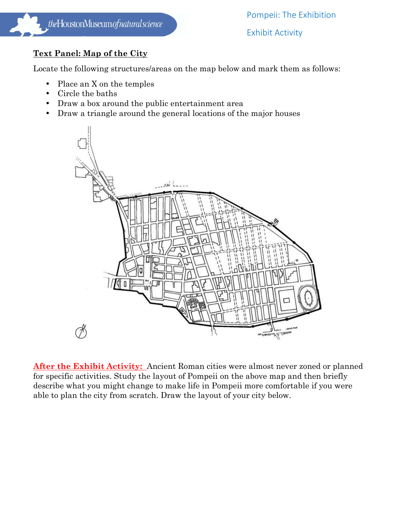# **Text Panel: Map of the City**

Locate the following structures/areas on the map below and mark them as follows:

- Place an X on the temples
- Circle the baths
- Draw a box around the public entertainment area
- Draw a triangle around the general locations of the major houses



After the Exhibit Activity: Ancient Roman cities were almost never zoned or planned for specific activities. Study the layout of Pompeii on the above map and then briefly describe what you might change to make life in Pompeii more comfortable if you were able to plan the city from scratch. Draw the layout of your city below.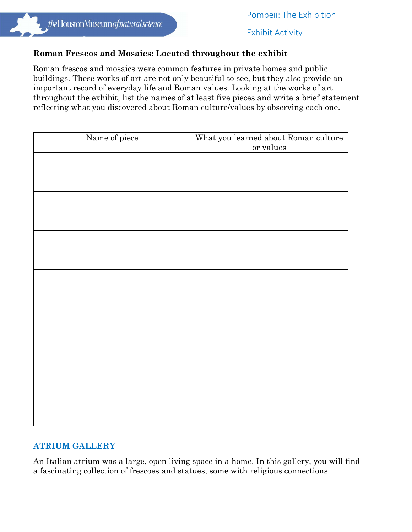#### **Roman Frescos and Mosaics: Located throughout the exhibit**

Roman frescos and mosaics were common features in private homes and public buildings. These works of art are not only beautiful to see, but they also provide an important record of everyday life and Roman values. Looking at the works of art throughout the exhibit, list the names of at least five pieces and write a brief statement reflecting what you discovered about Roman culture/values by observing each one.

| Name of piece | What you learned about Roman culture<br>or values |
|---------------|---------------------------------------------------|
|               |                                                   |
|               |                                                   |
|               |                                                   |
|               |                                                   |
|               |                                                   |
|               |                                                   |
|               |                                                   |
|               |                                                   |
|               |                                                   |
|               |                                                   |
|               |                                                   |
|               |                                                   |
|               |                                                   |
|               |                                                   |

## **ATRIUM GALLERY**

An Italian atrium was a large, open living space in a home. In this gallery, you will find a fascinating collection of frescoes and statues, some with religious connections.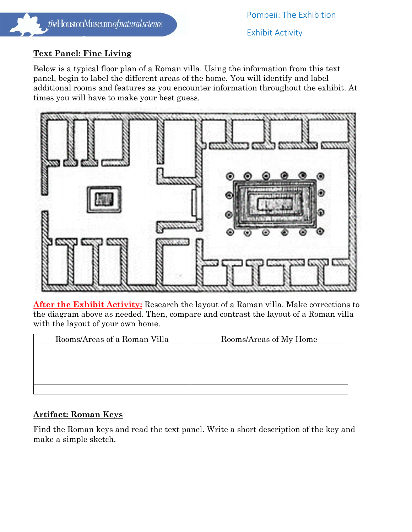## **Text Panel: Fine Living**

Below is a typical floor plan of a Roman villa. Using the information from this text panel, begin to label the different areas of the home. You will identify and label additional rooms and features as you encounter information throughout the exhibit. At times you will have to make your best guess.



**After the Exhibit Activity:** Research the layout of a Roman villa. Make corrections to the diagram above as needed. Then, compare and contrast the layout of a Roman villa with the layout of your own home.

| Rooms/Areas of a Roman Villa | Rooms/Areas of My Home |
|------------------------------|------------------------|
|                              |                        |
|                              |                        |
|                              |                        |
|                              |                        |
|                              |                        |

## **Artifact: Roman Keys**

Find the Roman keys and read the text panel. Write a short description of the key and make a simple sketch.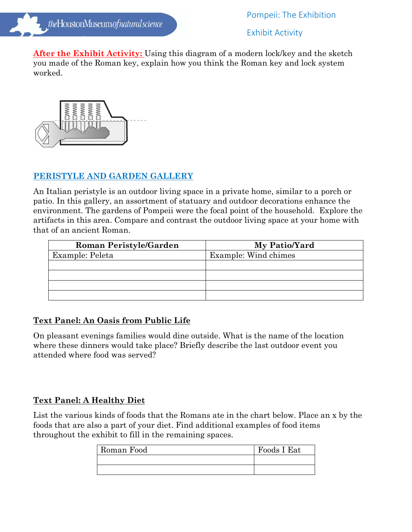**After the Exhibit Activity:** Using this diagram of a modern lock/key and the sketch you made of the Roman key, explain how you think the Roman key and lock system worked.



## **PERISTYLE AND GARDEN GALLERY**

An Italian peristyle is an outdoor living space in a private home, similar to a porch or patio. In this gallery, an assortment of statuary and outdoor decorations enhance the environment. The gardens of Pompeii were the focal point of the household. Explore the artifacts in this area. Compare and contrast the outdoor living space at your home with that of an ancient Roman.

| <b>Roman Peristyle/Garden</b> | My Patio/Yard        |
|-------------------------------|----------------------|
| Example: Peleta               | Example: Wind chimes |
|                               |                      |
|                               |                      |
|                               |                      |
|                               |                      |

# **Text Panel: An Oasis from Public Life**

On pleasant evenings families would dine outside. What is the name of the location where these dinners would take place? Briefly describe the last outdoor event you attended where food was served?

# **Text Panel: A Healthy Diet**

List the various kinds of foods that the Romans ate in the chart below. Place an x by the foods that are also a part of your diet. Find additional examples of food items throughout the exhibit to fill in the remaining spaces.

| Roman Food | Foods I Eat |
|------------|-------------|
|            |             |
|            |             |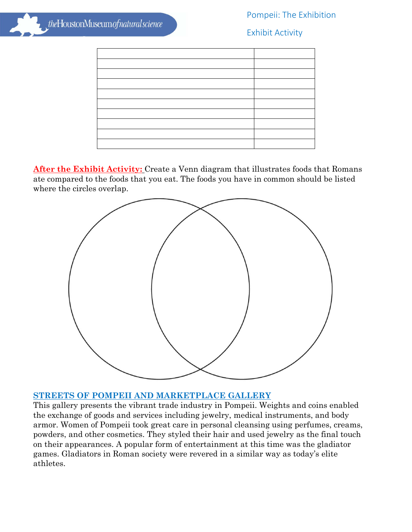## Pompeii: The Exhibition

Exhibit Activity

**After the Exhibit Activity:** Create a Venn diagram that illustrates foods that Romans ate compared to the foods that you eat. The foods you have in common should be listed where the circles overlap.

![](_page_5_Figure_5.jpeg)

## **STREETS OF POMPEII AND MARKETPLACE GALLERY**

This gallery presents the vibrant trade industry in Pompeii. Weights and coins enabled the exchange of goods and services including jewelry, medical instruments, and body armor. Women of Pompeii took great care in personal cleansing using perfumes, creams, powders, and other cosmetics. They styled their hair and used jewelry as the final touch on their appearances. A popular form of entertainment at this time was the gladiator games. Gladiators in Roman society were revered in a similar way as today's elite athletes.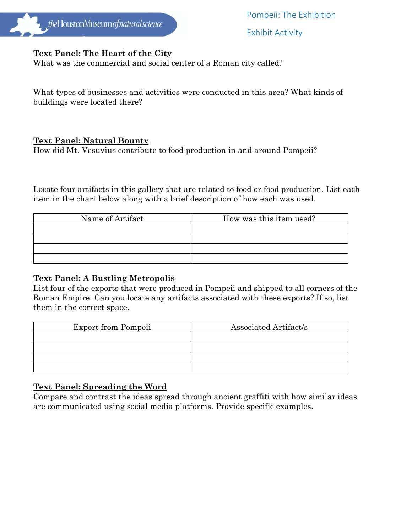![](_page_6_Picture_0.jpeg)

Pompeii: The Exhibition

Exhibit Activity

## **Text Panel: The Heart of the City**

What was the commercial and social center of a Roman city called?

What types of businesses and activities were conducted in this area? What kinds of buildings were located there?

#### **Text Panel: Natural Bounty**

How did Mt. Vesuvius contribute to food production in and around Pompeii?

Locate four artifacts in this gallery that are related to food or food production. List each item in the chart below along with a brief description of how each was used.

| Name of Artifact | How was this item used? |
|------------------|-------------------------|
|                  |                         |
|                  |                         |
|                  |                         |
|                  |                         |

## **Text Panel: A Bustling Metropolis**

List four of the exports that were produced in Pompeii and shipped to all corners of the Roman Empire. Can you locate any artifacts associated with these exports? If so, list them in the correct space.

| <b>Export from Pompeii</b> | Associated Artifact/s |
|----------------------------|-----------------------|
|                            |                       |
|                            |                       |
|                            |                       |
|                            |                       |

## **Text Panel: Spreading the Word**

Compare and contrast the ideas spread through ancient graffiti with how similar ideas are communicated using social media platforms. Provide specific examples.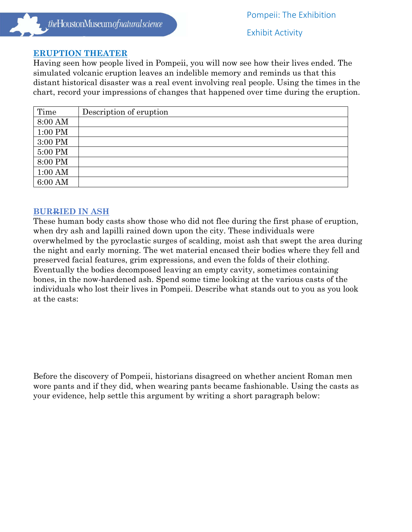#### **ERUPTION THEATER**

Having seen how people lived in Pompeii, you will now see how their lives ended. The simulated volcanic eruption leaves an indelible memory and reminds us that this distant historical disaster was a real event involving real people. Using the times in the chart, record your impressions of changes that happened over time during the eruption.

| Time      | Description of eruption |
|-----------|-------------------------|
| 8:00 AM   |                         |
| 1:00 PM   |                         |
| 3:00 PM   |                         |
| 5:00 PM   |                         |
| 8:00 PM   |                         |
| $1:00$ AM |                         |
| 6:00 AM   |                         |

#### **BURRIED IN ASH**

These human body casts show those who did not flee during the first phase of eruption, when dry ash and lapilli rained down upon the city. These individuals were overwhelmed by the pyroclastic surges of scalding, moist ash that swept the area during the night and early morning. The wet material encased their bodies where they fell and preserved facial features, grim expressions, and even the folds of their clothing. Eventually the bodies decomposed leaving an empty cavity, sometimes containing bones, in the now-hardened ash. Spend some time looking at the various casts of the individuals who lost their lives in Pompeii. Describe what stands out to you as you look at the casts:

Before the discovery of Pompeii, historians disagreed on whether ancient Roman men wore pants and if they did, when wearing pants became fashionable. Using the casts as your evidence, help settle this argument by writing a short paragraph below: